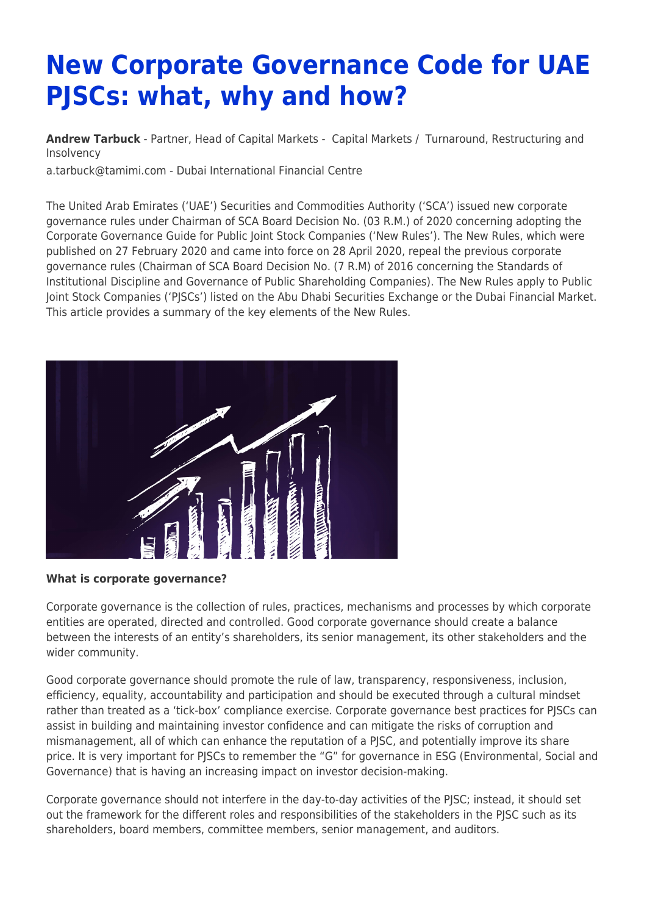# **New Corporate Governance Code for UAE PJSCs: what, why and how?**

**[Andrew Tarbuck](https://www.tamimi.com/find-a-lawyer/andrew-tarbuck/)** - Partner, Head of Capital Markets - [Capital Markets](https://www.tamimi.com/client-services/practices/capital-markets/) / [Turnaround, Restructuring and](https://www.tamimi.com/client-services/practices/turnaround-restructuring-insolvency/) [Insolvency](https://www.tamimi.com/client-services/practices/turnaround-restructuring-insolvency/)

[a.tarbuck@tamimi.com](mailto:a.tarbuck@tamimi.com) - [Dubai International Financial Centre](https://www.tamimi.com/locations/uae/)

The United Arab Emirates ('UAE') Securities and Commodities Authority ('SCA') issued new corporate governance rules under Chairman of SCA Board Decision No. (03 R.M.) of 2020 concerning adopting the Corporate Governance Guide for Public Joint Stock Companies ('New Rules'). The New Rules, which were published on 27 February 2020 and came into force on 28 April 2020, repeal the previous corporate governance rules (Chairman of SCA Board Decision No. (7 R.M) of 2016 concerning the Standards of Institutional Discipline and Governance of Public Shareholding Companies). The New Rules apply to Public Joint Stock Companies ('PJSCs') listed on the Abu Dhabi Securities Exchange or the Dubai Financial Market. This article provides a summary of the key elements of the New Rules.



#### **What is corporate governance?**

Corporate governance is the collection of rules, practices, mechanisms and processes by which corporate entities are operated, directed and controlled. Good corporate governance should create a balance between the interests of an entity's shareholders, its senior management, its other stakeholders and the wider community.

Good corporate governance should promote the rule of law, transparency, responsiveness, inclusion, efficiency, equality, accountability and participation and should be executed through a cultural mindset rather than treated as a 'tick-box' compliance exercise. Corporate governance best practices for PJSCs can assist in building and maintaining investor confidence and can mitigate the risks of corruption and mismanagement, all of which can enhance the reputation of a PJSC, and potentially improve its share price. It is very important for PJSCs to remember the "G" for governance in ESG (Environmental, Social and Governance) that is having an increasing impact on investor decision-making.

Corporate governance should not interfere in the day-to-day activities of the PJSC; instead, it should set out the framework for the different roles and responsibilities of the stakeholders in the PJSC such as its shareholders, board members, committee members, senior management, and auditors.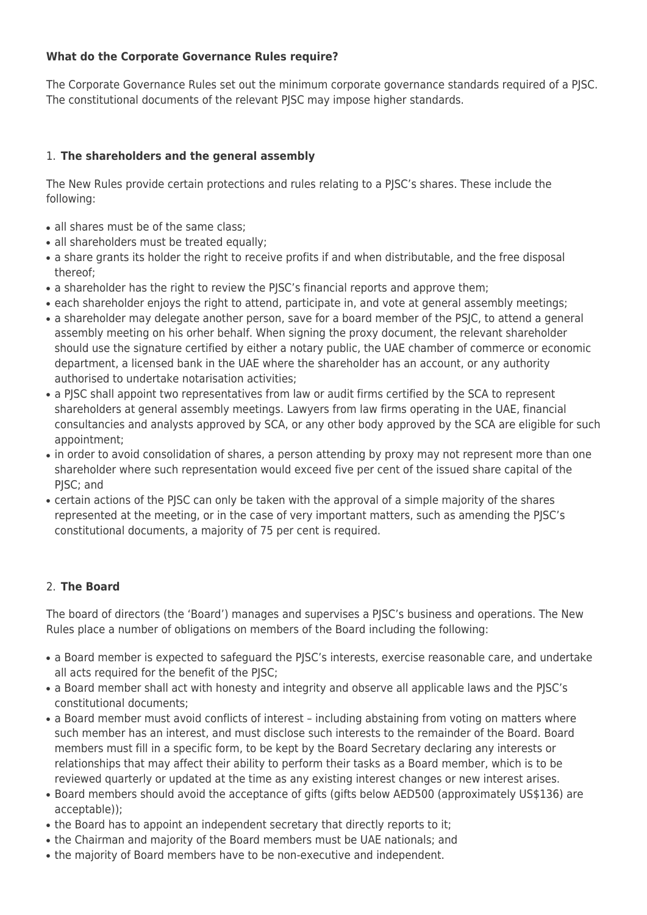## **What do the Corporate Governance Rules require?**

The Corporate Governance Rules set out the minimum corporate governance standards required of a PJSC. The constitutional documents of the relevant PJSC may impose higher standards.

## 1. **The shareholders and the general assembly**

The New Rules provide certain protections and rules relating to a PJSC's shares. These include the following:

- all shares must be of the same class:
- all shareholders must be treated equally;
- a share grants its holder the right to receive profits if and when distributable, and the free disposal thereof;
- a shareholder has the right to review the PJSC's financial reports and approve them;
- each shareholder enjoys the right to attend, participate in, and vote at general assembly meetings;
- a shareholder may delegate another person, save for a board member of the PSJC, to attend a general assembly meeting on his orher behalf. When signing the proxy document, the relevant shareholder should use the signature certified by either a notary public, the UAE chamber of commerce or economic department, a licensed bank in the UAE where the shareholder has an account, or any authority authorised to undertake notarisation activities;
- a PJSC shall appoint two representatives from law or audit firms certified by the SCA to represent shareholders at general assembly meetings. Lawyers from law firms operating in the UAE, financial consultancies and analysts approved by SCA, or any other body approved by the SCA are eligible for such appointment;
- in order to avoid consolidation of shares, a person attending by proxy may not represent more than one shareholder where such representation would exceed five per cent of the issued share capital of the PISC: and
- certain actions of the PJSC can only be taken with the approval of a simple majority of the shares represented at the meeting, or in the case of very important matters, such as amending the PJSC's constitutional documents, a majority of 75 per cent is required.

## 2. **The Board**

The board of directors (the 'Board') manages and supervises a PJSC's business and operations. The New Rules place a number of obligations on members of the Board including the following:

- a Board member is expected to safeguard the PJSC's interests, exercise reasonable care, and undertake all acts required for the benefit of the PJSC;
- a Board member shall act with honesty and integrity and observe all applicable laws and the PJSC's constitutional documents;
- a Board member must avoid conflicts of interest including abstaining from voting on matters where such member has an interest, and must disclose such interests to the remainder of the Board. Board members must fill in a specific form, to be kept by the Board Secretary declaring any interests or relationships that may affect their ability to perform their tasks as a Board member, which is to be reviewed quarterly or updated at the time as any existing interest changes or new interest arises.
- Board members should avoid the acceptance of gifts (gifts below AED500 (approximately US\$136) are acceptable));
- the Board has to appoint an independent secretary that directly reports to it;
- the Chairman and majority of the Board members must be UAE nationals; and
- the majority of Board members have to be non-executive and independent.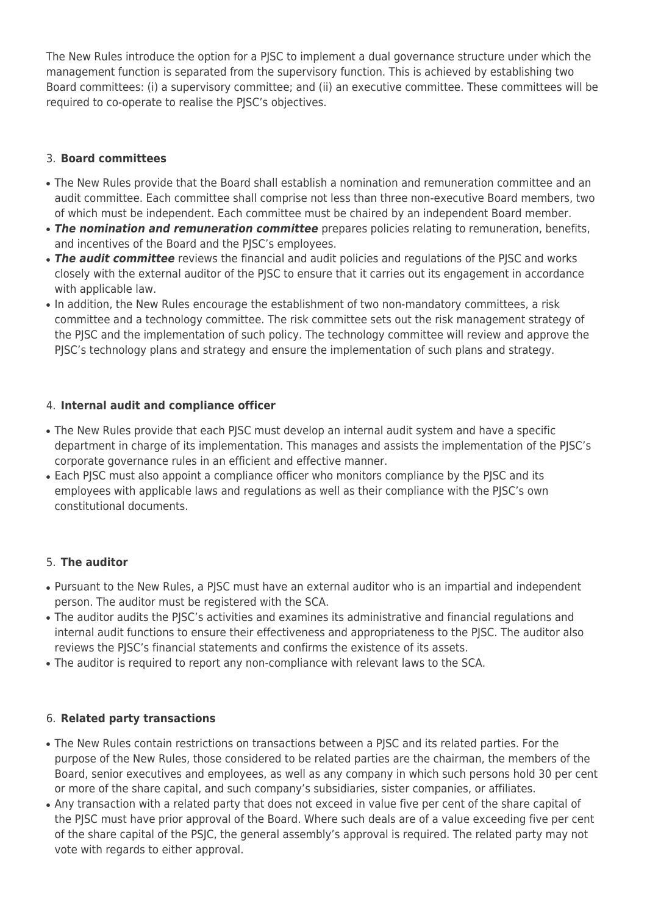The New Rules introduce the option for a PJSC to implement a dual governance structure under which the management function is separated from the supervisory function. This is achieved by establishing two Board committees: (i) a supervisory committee; and (ii) an executive committee. These committees will be required to co-operate to realise the PJSC's objectives.

## 3. **Board committees**

- The New Rules provide that the Board shall establish a nomination and remuneration committee and an audit committee. Each committee shall comprise not less than three non-executive Board members, two of which must be independent. Each committee must be chaired by an independent Board member.
- **The nomination and remuneration committee** prepares policies relating to remuneration, benefits, and incentives of the Board and the PJSC's employees.
- **The audit committee** reviews the financial and audit policies and regulations of the PJSC and works closely with the external auditor of the PJSC to ensure that it carries out its engagement in accordance with applicable law.
- In addition, the New Rules encourage the establishment of two non-mandatory committees, a risk committee and a technology committee. The risk committee sets out the risk management strategy of the PJSC and the implementation of such policy. The technology committee will review and approve the PJSC's technology plans and strategy and ensure the implementation of such plans and strategy.

## 4. **Internal audit and compliance officer**

- The New Rules provide that each PJSC must develop an internal audit system and have a specific department in charge of its implementation. This manages and assists the implementation of the PJSC's corporate governance rules in an efficient and effective manner.
- Each PJSC must also appoint a compliance officer who monitors compliance by the PJSC and its employees with applicable laws and regulations as well as their compliance with the PJSC's own constitutional documents.

# 5. **The auditor**

- Pursuant to the New Rules, a PJSC must have an external auditor who is an impartial and independent person. The auditor must be registered with the SCA.
- The auditor audits the PJSC's activities and examines its administrative and financial regulations and internal audit functions to ensure their effectiveness and appropriateness to the PJSC. The auditor also reviews the PJSC's financial statements and confirms the existence of its assets.
- The auditor is required to report any non-compliance with relevant laws to the SCA.

# 6. **Related party transactions**

- The New Rules contain restrictions on transactions between a PISC and its related parties. For the purpose of the New Rules, those considered to be related parties are the chairman, the members of the Board, senior executives and employees, as well as any company in which such persons hold 30 per cent or more of the share capital, and such company's subsidiaries, sister companies, or affiliates.
- Any transaction with a related party that does not exceed in value five per cent of the share capital of the PJSC must have prior approval of the Board. Where such deals are of a value exceeding five per cent of the share capital of the PSJC, the general assembly's approval is required. The related party may not vote with regards to either approval.